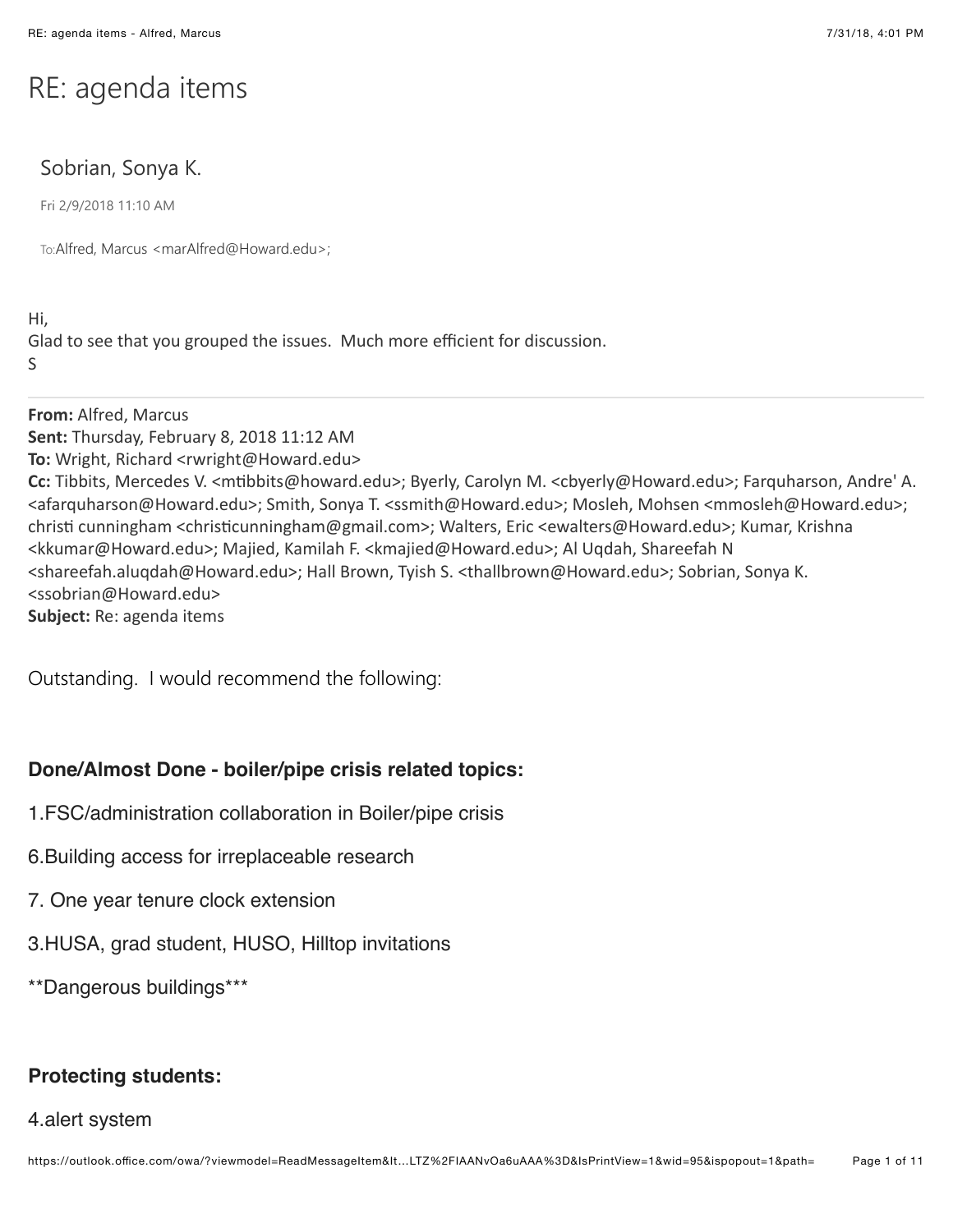# RE: agenda items

# Sobrian, Sonya K.

Fri 2/9/2018 11:10 AM

To:Alfred, Marcus <marAlfred@Howard.edu>;

Hi, Glad to see that you grouped the issues. Much more efficient for discussion. S

**From:** Alfred, Marcus **Sent:** Thursday, February 8, 2018 11:12 AM **To:** Wright, Richard <rwright@Howard.edu> Cc: Tibbits, Mercedes V. <mtibbits@howard.edu>; Byerly, Carolyn M. <cbyerly@Howard.edu>; Farquharson, Andre' A. <afarquharson@Howard.edu>; Smith, Sonya T. <ssmith@Howard.edu>; Mosleh, Mohsen <mmosleh@Howard.edu>; christi cunningham <christicunningham@gmail.com>; Walters, Eric <ewalters@Howard.edu>; Kumar, Krishna <kkumar@Howard.edu>; Majied, Kamilah F. <kmajied@Howard.edu>; Al Uqdah, Shareefah N <shareefah.aluqdah@Howard.edu>; Hall Brown, Tyish S. <thallbrown@Howard.edu>; Sobrian, Sonya K. <ssobrian@Howard.edu> **Subject:** Re: agenda items

Outstanding. I would recommend the following:

# **Done/Almost Done - boiler/pipe crisis related topics:**

- 1.FSC/administration collaboration in Boiler/pipe crisis
- 6.Building access for irreplaceable research
- 7. One year tenure clock extension
- 3.HUSA, grad student, HUSO, Hilltop invitations

\*\*Dangerous buildings\*\*\*

# **Protecting students:**

#### 4.alert system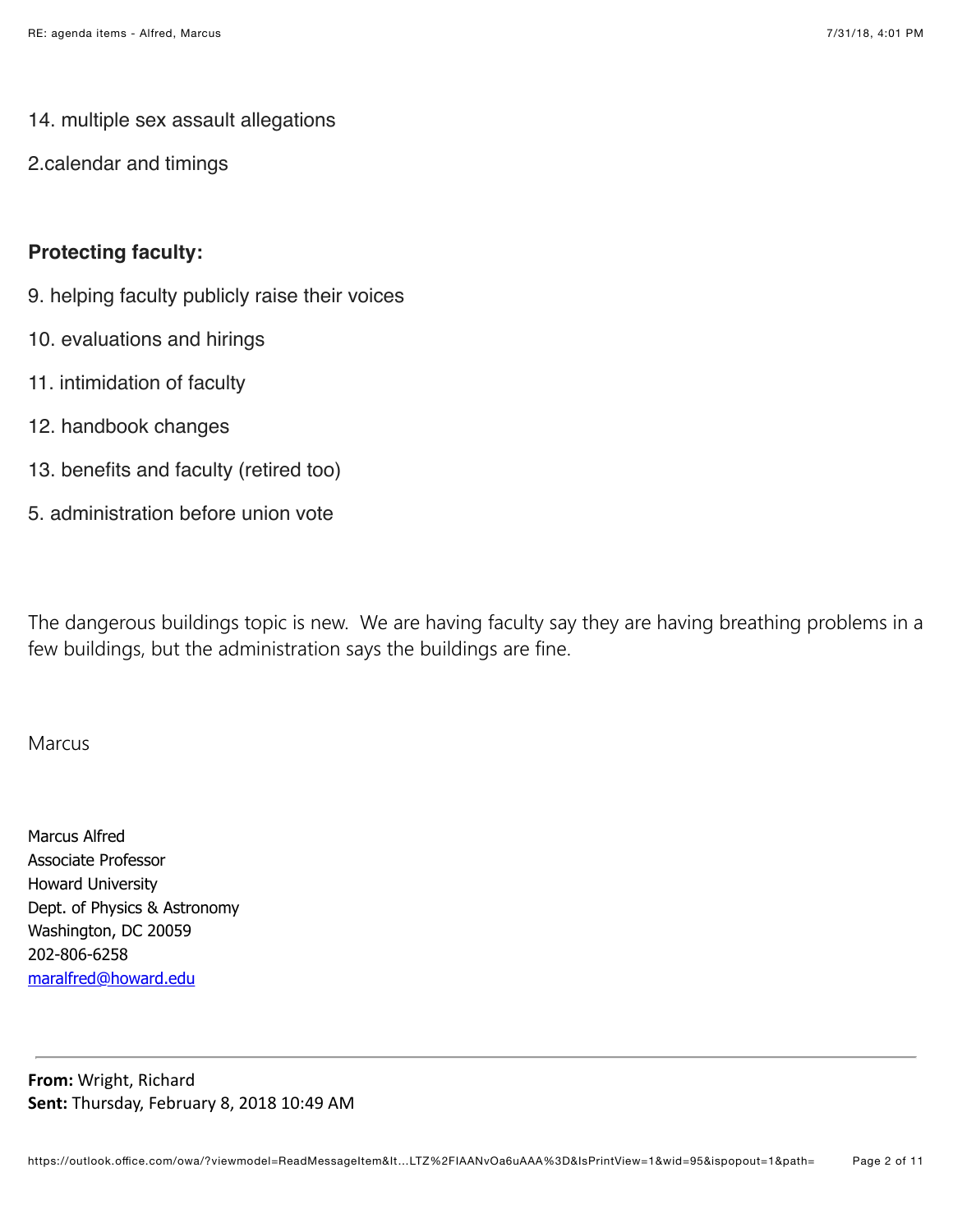### 14. multiple sex assault allegations

2.calendar and timings

## **Protecting faculty:**

- 9. helping faculty publicly raise their voices
- 10. evaluations and hirings
- 11. intimidation of faculty
- 12. handbook changes
- 13. benefits and faculty (retired too)
- 5. administration before union vote

The dangerous buildings topic is new. We are having faculty say they are having breathing problems in a few buildings, but the administration says the buildings are fine.

#### Marcus

Marcus Alfred Associate Professor Howard University Dept. of Physics & Astronomy Washington, DC 20059 202-806-6258 [maralfred@howard.edu](mailto:maralfred@howard.edu)

**From: Wright, Richard** Sent: Thursday, February 8, 2018 10:49 AM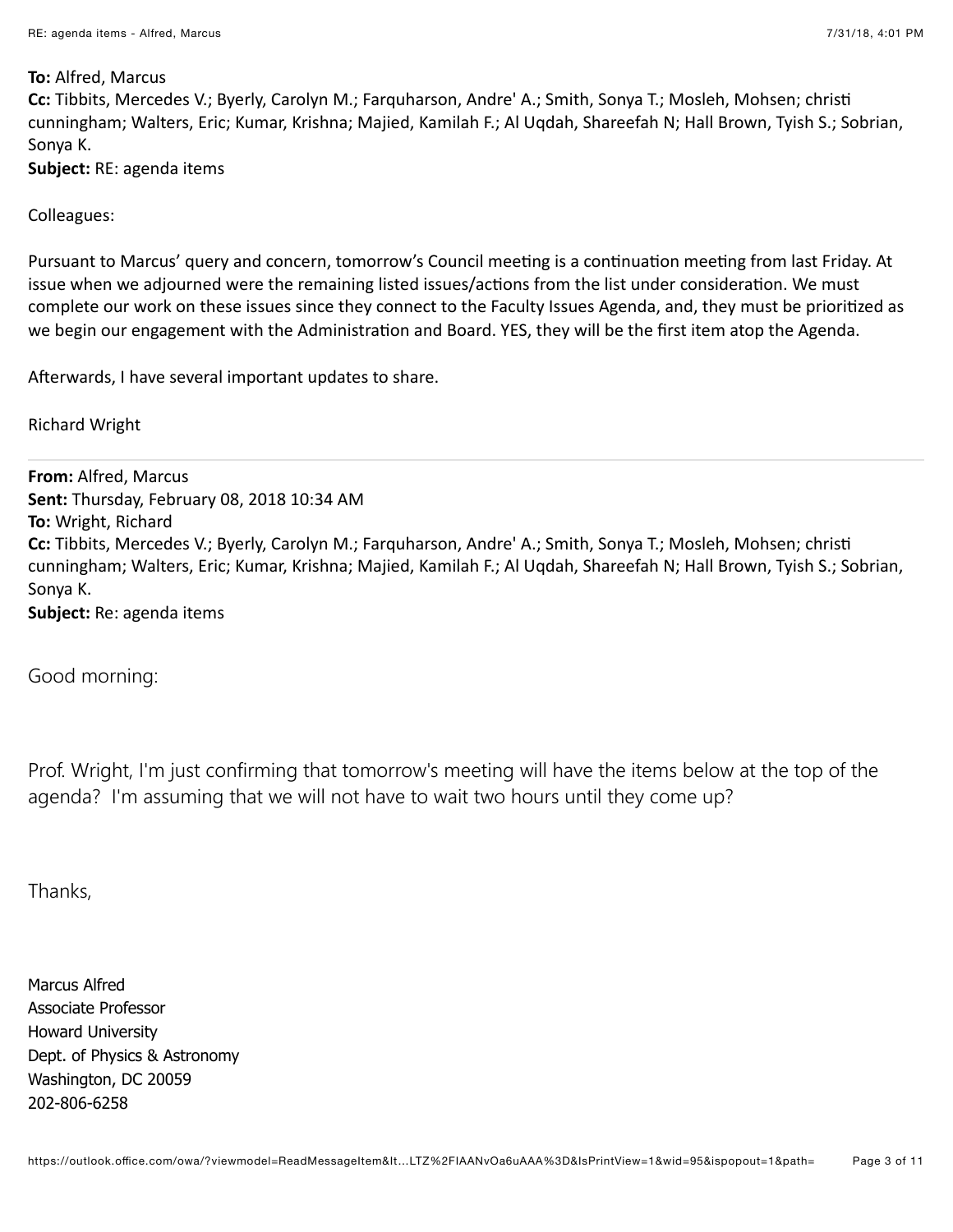#### **To: Alfred, Marcus**

**Cc:** Tibbits, Mercedes V.; Byerly, Carolyn M.; Farquharson, Andre' A.; Smith, Sonya T.; Mosleh, Mohsen; christi cunningham; Walters, Eric; Kumar, Krishna; Majied, Kamilah F.; Al Uqdah, Shareefah N; Hall Brown, Tyish S.; Sobrian, Sonya K.

**Subject:** RE: agenda items

Colleagues:

Pursuant to Marcus' query and concern, tomorrow's Council meeting is a continuation meeting from last Friday. At issue when we adjourned were the remaining listed issues/actions from the list under consideration. We must complete our work on these issues since they connect to the Faculty Issues Agenda, and, they must be prioritized as we begin our engagement with the Administration and Board. YES, they will be the first item atop the Agenda.

Afterwards, I have several important updates to share.

**Richard Wright** 

**From: Alfred, Marcus Sent: Thursday, February 08, 2018 10:34 AM To: Wright, Richard Cc:** Tibbits, Mercedes V.; Byerly, Carolyn M.; Farquharson, Andre' A.; Smith, Sonya T.; Mosleh, Mohsen; christi cunningham; Walters, Eric; Kumar, Krishna; Majied, Kamilah F.; Al Uqdah, Shareefah N; Hall Brown, Tyish S.; Sobrian, Sonya K. **Subject:** Re: agenda items

Good morning:

Prof. Wright, I'm just confirming that tomorrow's meeting will have the items below at the top of the agenda? I'm assuming that we will not have to wait two hours until they come up?

Thanks,

Marcus Alfred Associate Professor Howard University Dept. of Physics & Astronomy Washington, DC 20059 202-806-6258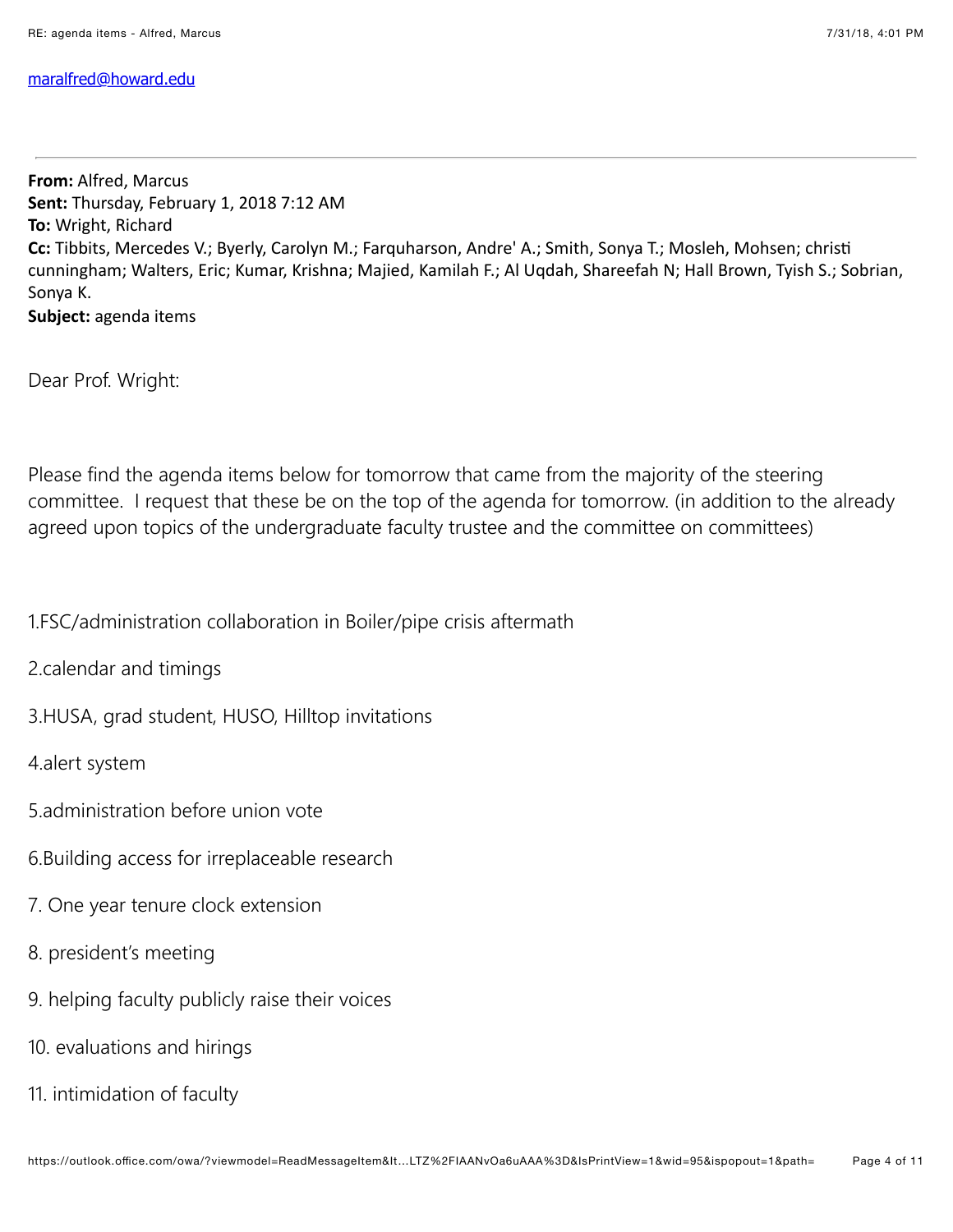#### [maralfred@howard.edu](mailto:maralfred@howard.edu)

**From: Alfred, Marcus** Sent: Thursday, February 1, 2018 7:12 AM **To: Wright, Richard Cc:** Tibbits, Mercedes V.; Byerly, Carolyn M.; Farquharson, Andre' A.; Smith, Sonya T.; Mosleh, Mohsen; christi cunningham; Walters, Eric; Kumar, Krishna; Majied, Kamilah F.; Al Uqdah, Shareefah N; Hall Brown, Tyish S.; Sobrian, Sonya K. Subject: agenda items

Dear Prof. Wright:

Please find the agenda items below for tomorrow that came from the majority of the steering committee. I request that these be on the top of the agenda for tomorrow. (in addition to the already agreed upon topics of the undergraduate faculty trustee and the committee on committees)

1.FSC/administration collaboration in Boiler/pipe crisis aftermath

2.calendar and timings

3.HUSA, grad student, HUSO, Hilltop invitations

4.alert system

- 5.administration before union vote
- 6.Building access for irreplaceable research
- 7. One year tenure clock extension
- 8. president's meeting
- 9. helping faculty publicly raise their voices
- 10. evaluations and hirings
- 11. intimidation of faculty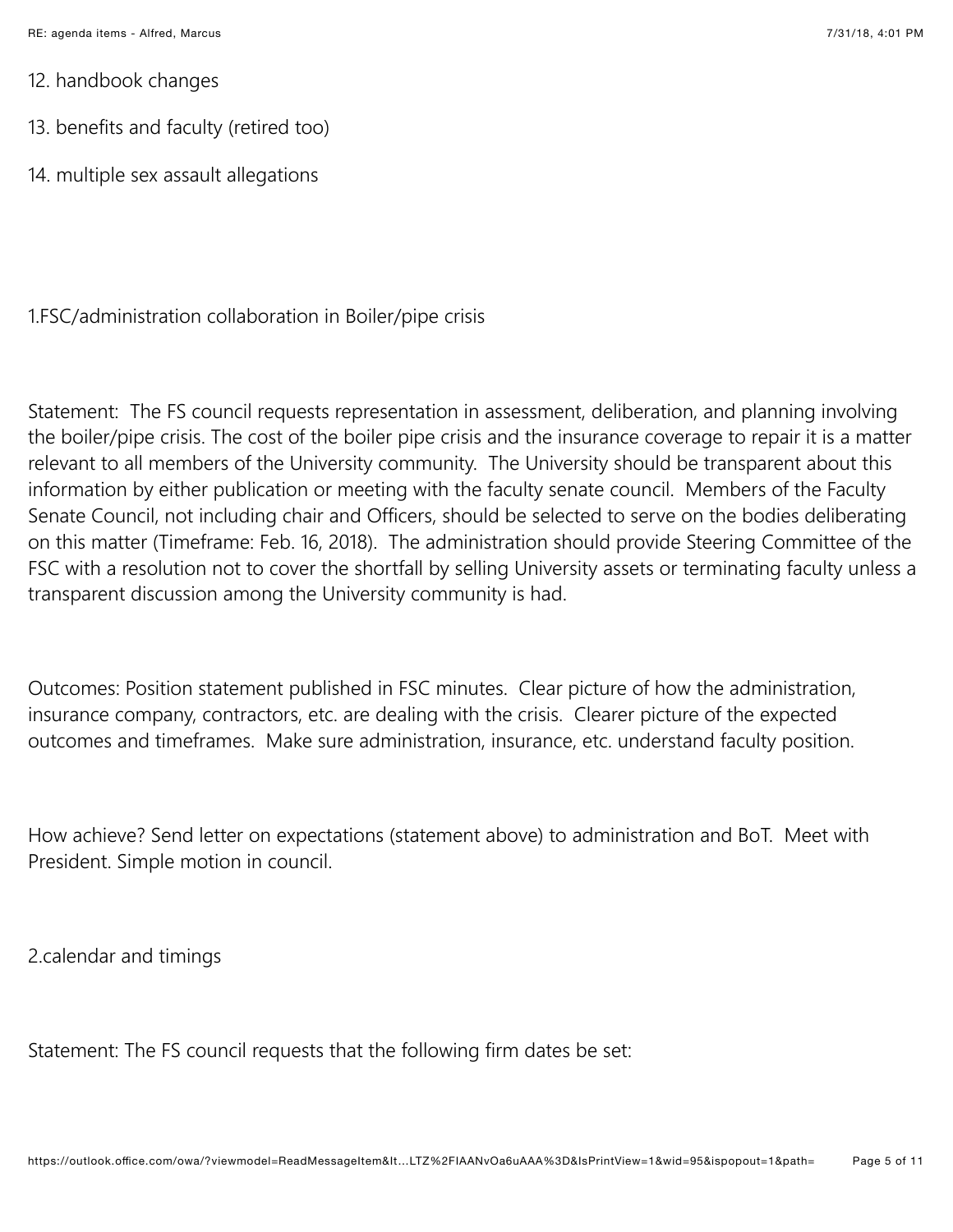- 12. handbook changes
- 13. benefits and faculty (retired too)
- 14. multiple sex assault allegations

1.FSC/administration collaboration in Boiler/pipe crisis

Statement: The FS council requests representation in assessment, deliberation, and planning involving the boiler/pipe crisis. The cost of the boiler pipe crisis and the insurance coverage to repair it is a matter relevant to all members of the University community. The University should be transparent about this information by either publication or meeting with the faculty senate council. Members of the Faculty Senate Council, not including chair and Officers, should be selected to serve on the bodies deliberating on this matter (Timeframe: Feb. 16, 2018). The administration should provide Steering Committee of the FSC with a resolution not to cover the shortfall by selling University assets or terminating faculty unless a transparent discussion among the University community is had.

Outcomes: Position statement published in FSC minutes. Clear picture of how the administration, insurance company, contractors, etc. are dealing with the crisis. Clearer picture of the expected outcomes and timeframes. Make sure administration, insurance, etc. understand faculty position.

How achieve? Send letter on expectations (statement above) to administration and BoT. Meet with President. Simple motion in council.

2.calendar and timings

Statement: The FS council requests that the following firm dates be set: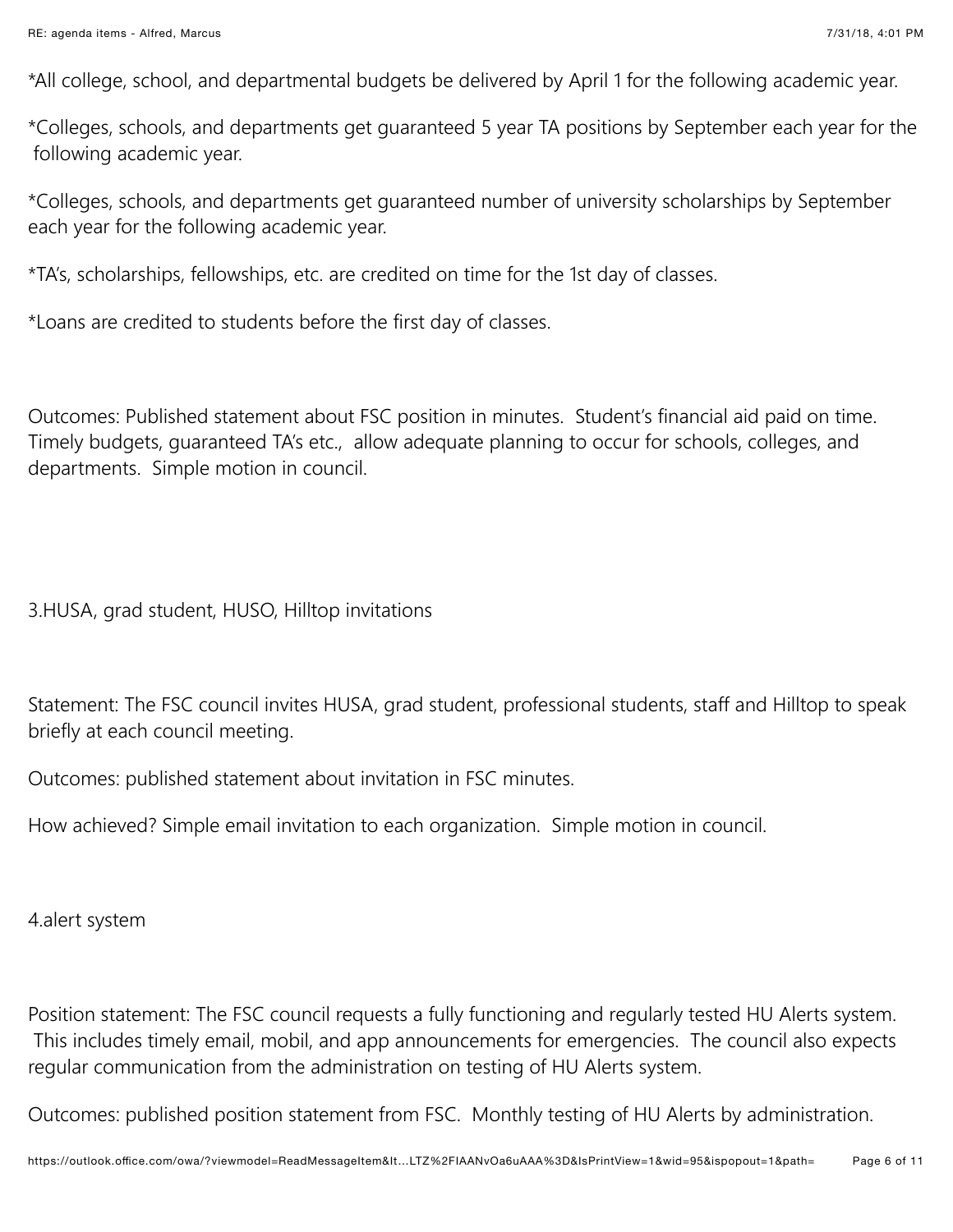\*All college, school, and departmental budgets be delivered by April 1 for the following academic year.

\*Colleges, schools, and departments get guaranteed 5 year TA positions by September each year for the following academic year.

\*Colleges, schools, and departments get guaranteed number of university scholarships by September each year for the following academic year.

\*TA's, scholarships, fellowships, etc. are credited on time for the 1st day of classes.

\*Loans are credited to students before the first day of classes.

Outcomes: Published statement about FSC position in minutes. Student's financial aid paid on time. Timely budgets, guaranteed TA's etc., allow adequate planning to occur for schools, colleges, and departments. Simple motion in council.

3.HUSA, grad student, HUSO, Hilltop invitations

Statement: The FSC council invites HUSA, grad student, professional students, staff and Hilltop to speak briefly at each council meeting.

Outcomes: published statement about invitation in FSC minutes.

How achieved? Simple email invitation to each organization. Simple motion in council.

4.alert system

Position statement: The FSC council requests a fully functioning and regularly tested HU Alerts system. This includes timely email, mobil, and app announcements for emergencies. The council also expects regular communication from the administration on testing of HU Alerts system.

Outcomes: published position statement from FSC. Monthly testing of HU Alerts by administration.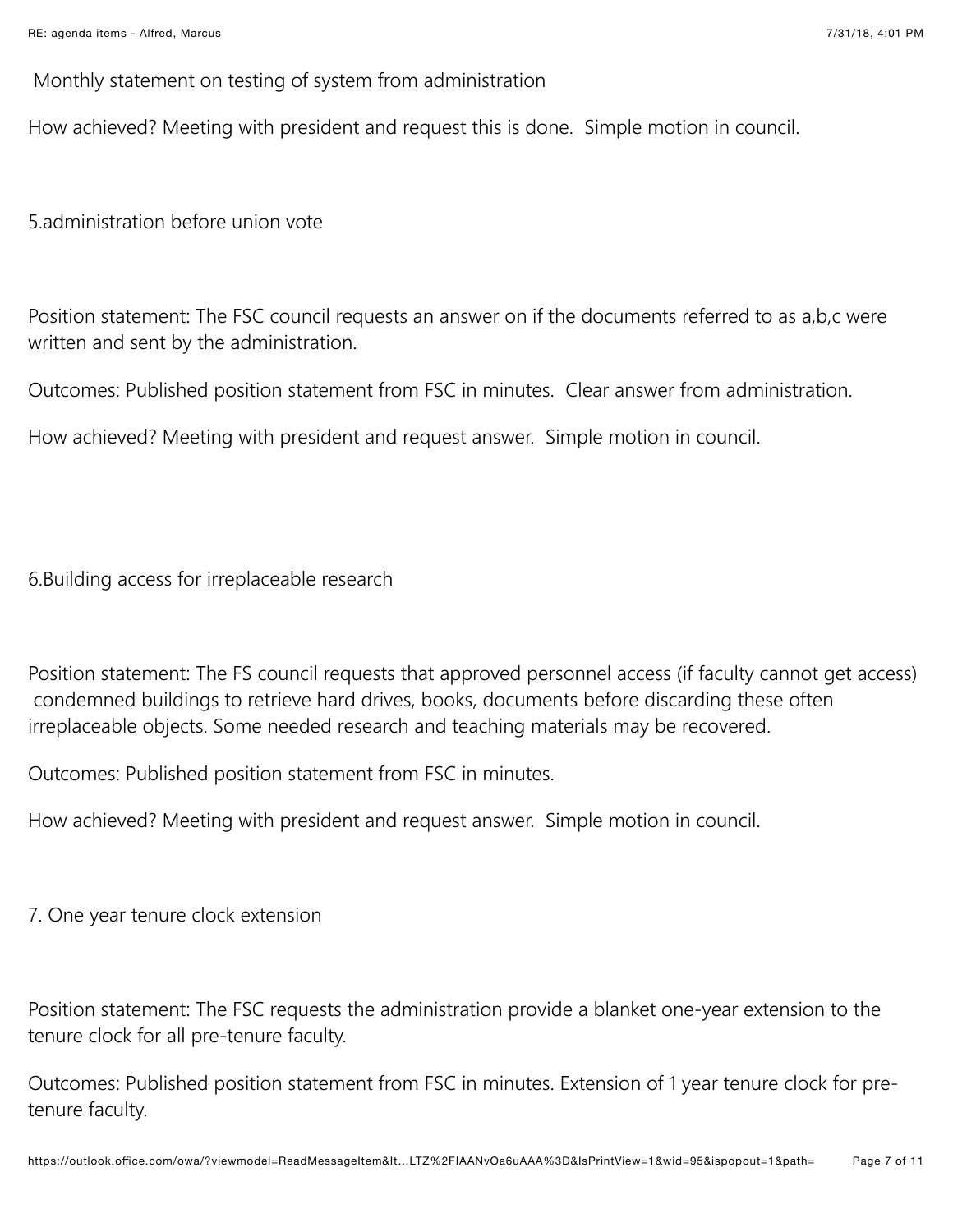Monthly statement on testing of system from administration

How achieved? Meeting with president and request this is done. Simple motion in council.

5.administration before union vote

Position statement: The FSC council requests an answer on if the documents referred to as a,b,c were written and sent by the administration.

Outcomes: Published position statement from FSC in minutes. Clear answer from administration.

How achieved? Meeting with president and request answer. Simple motion in council.

6.Building access for irreplaceable research

Position statement: The FS council requests that approved personnel access (if faculty cannot get access) condemned buildings to retrieve hard drives, books, documents before discarding these often irreplaceable objects. Some needed research and teaching materials may be recovered.

Outcomes: Published position statement from FSC in minutes.

How achieved? Meeting with president and request answer. Simple motion in council.

7. One year tenure clock extension

Position statement: The FSC requests the administration provide a blanket one-year extension to the tenure clock for all pre-tenure faculty.

Outcomes: Published position statement from FSC in minutes. Extension of 1 year tenure clock for pretenure faculty.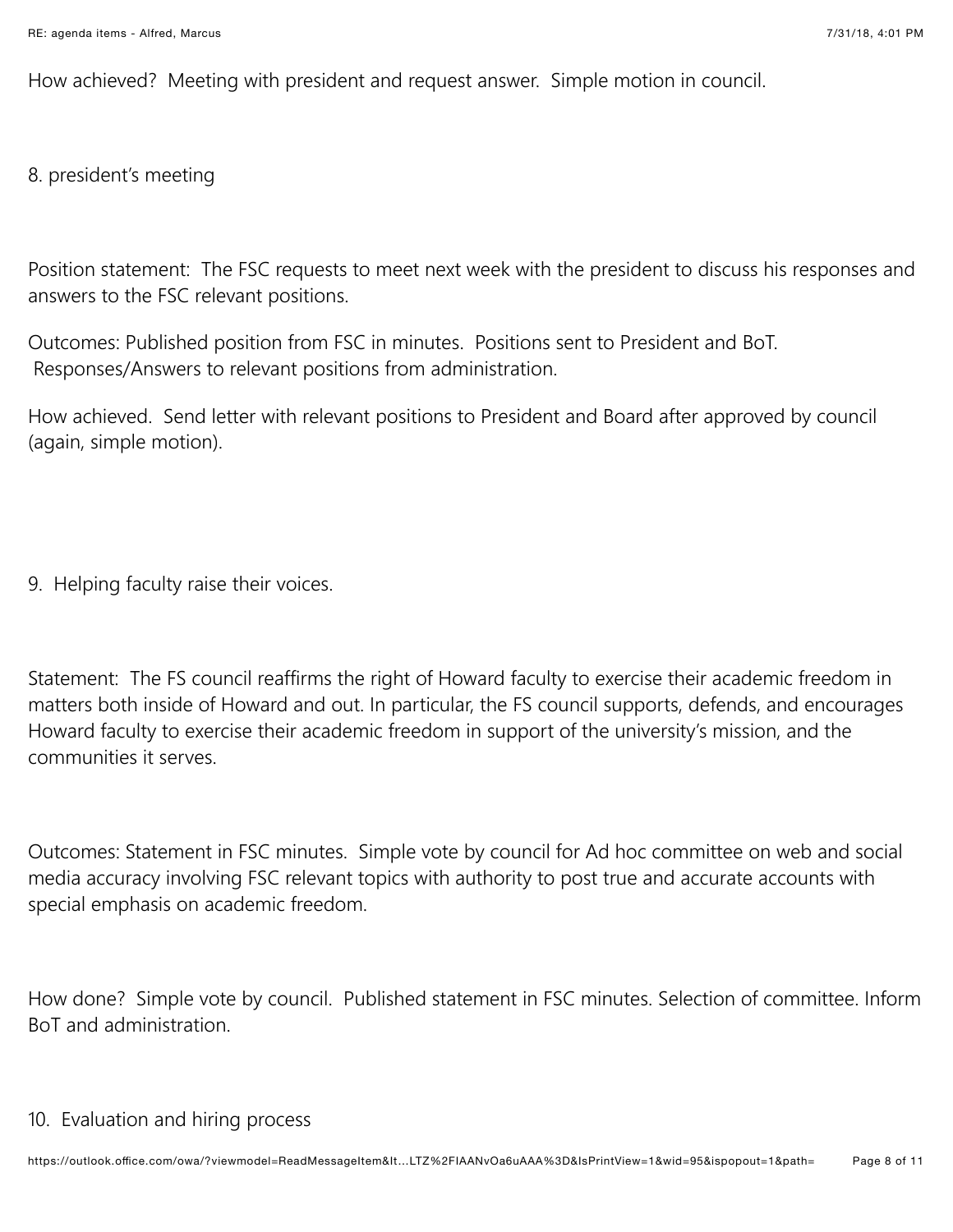How achieved? Meeting with president and request answer. Simple motion in council.

8. president's meeting

Position statement: The FSC requests to meet next week with the president to discuss his responses and answers to the FSC relevant positions.

Outcomes: Published position from FSC in minutes. Positions sent to President and BoT. Responses/Answers to relevant positions from administration.

How achieved. Send letter with relevant positions to President and Board after approved by council (again, simple motion).

9. Helping faculty raise their voices.

Statement: The FS council reaffirms the right of Howard faculty to exercise their academic freedom in matters both inside of Howard and out. In particular, the FS council supports, defends, and encourages Howard faculty to exercise their academic freedom in support of the university's mission, and the communities it serves.

Outcomes: Statement in FSC minutes. Simple vote by council for Ad hoc committee on web and social media accuracy involving FSC relevant topics with authority to post true and accurate accounts with special emphasis on academic freedom.

How done? Simple vote by council. Published statement in FSC minutes. Selection of committee. Inform BoT and administration.

## 10. Evaluation and hiring process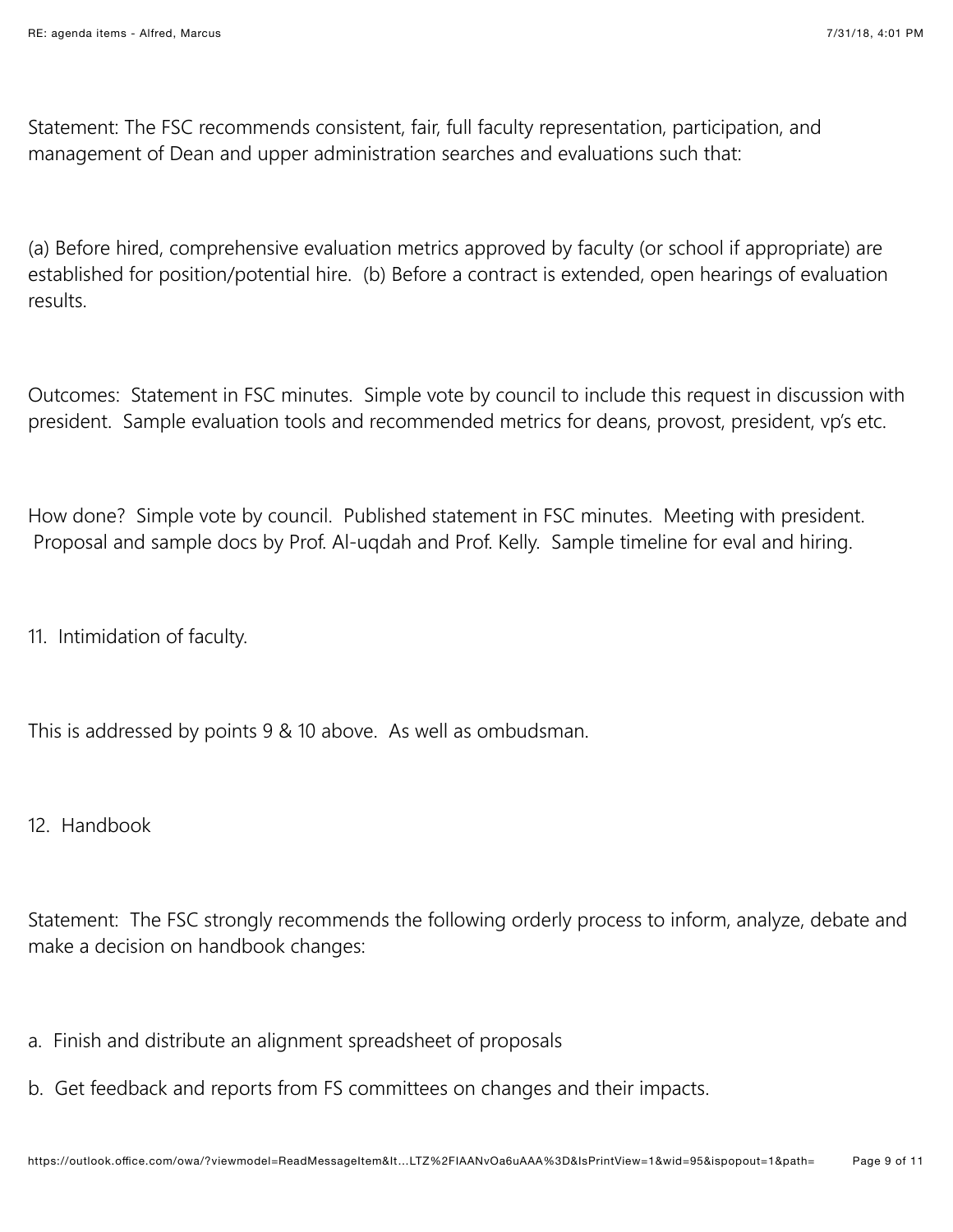Statement: The FSC recommends consistent, fair, full faculty representation, participation, and management of Dean and upper administration searches and evaluations such that:

(a) Before hired, comprehensive evaluation metrics approved by faculty (or school if appropriate) are established for position/potential hire. (b) Before a contract is extended, open hearings of evaluation results.

Outcomes: Statement in FSC minutes. Simple vote by council to include this request in discussion with president. Sample evaluation tools and recommended metrics for deans, provost, president, vp's etc.

How done? Simple vote by council. Published statement in FSC minutes. Meeting with president. Proposal and sample docs by Prof. Al-ugdah and Prof. Kelly. Sample timeline for eval and hiring.

11. Intimidation of faculty.

This is addressed by points 9 & 10 above. As well as ombudsman.

12. Handbook

Statement: The FSC strongly recommends the following orderly process to inform, analyze, debate and make a decision on handbook changes:

- a. Finish and distribute an alignment spreadsheet of proposals
- b. Get feedback and reports from FS committees on changes and their impacts.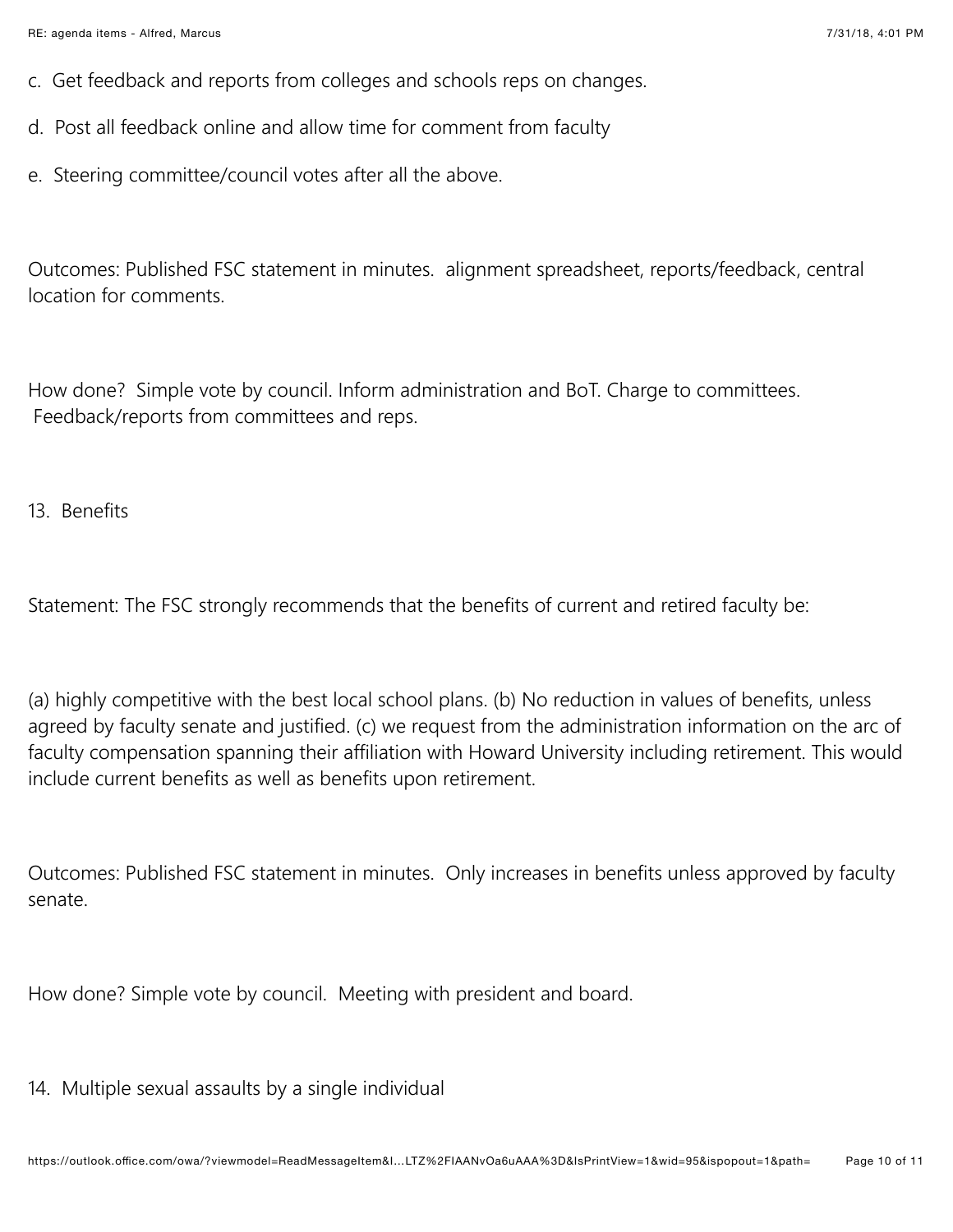- c. Get feedback and reports from colleges and schools reps on changes.
- d. Post all feedback online and allow time for comment from faculty
- e. Steering committee/council votes after all the above.

Outcomes: Published FSC statement in minutes. alignment spreadsheet, reports/feedback, central location for comments.

How done? Simple vote by council. Inform administration and BoT. Charge to committees. Feedback/reports from committees and reps.

13. Benefits

Statement: The FSC strongly recommends that the benefits of current and retired faculty be:

(a) highly competitive with the best local school plans. (b) No reduction in values of benefits, unless agreed by faculty senate and justified. (c) we request from the administration information on the arc of faculty compensation spanning their affiliation with Howard University including retirement. This would include current benefits as well as benefits upon retirement.

Outcomes: Published FSC statement in minutes. Only increases in benefits unless approved by faculty senate.

How done? Simple vote by council. Meeting with president and board.

14. Multiple sexual assaults by a single individual